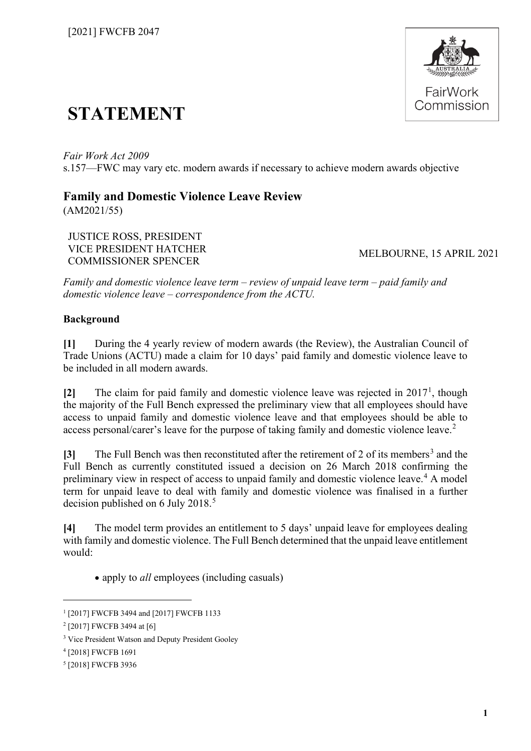

# **STATEMENT**

*Fair Work Act 2009* s.157—FWC may vary etc. modern awards if necessary to achieve modern awards objective

# **Family and Domestic Violence Leave Review**

(AM2021/55)

JUSTICE ROSS, PRESIDENT VICE PRESIDENT HATCHER COMMISSIONER SPENCER

MELBOURNE, 15 APRIL 2021

*Family and domestic violence leave term – review of unpaid leave term – paid family and domestic violence leave – correspondence from the ACTU.*

# **Background**

**[1]** During the 4 yearly review of modern awards (the Review), the Australian Council of Trade Unions (ACTU) made a claim for 10 days' paid family and domestic violence leave to be included in all modern awards.

**[2]** The claim for paid family and domestic violence leave was rejected in 2017[1](#page-0-0) , though the majority of the Full Bench expressed the preliminary view that all employees should have access to unpaid family and domestic violence leave and that employees should be able to access personal/carer's leave for the purpose of taking family and domestic violence leave.<sup>[2](#page-0-1)</sup>

**[[3](#page-0-2)]** The Full Bench was then reconstituted after the retirement of 2 of its members<sup>3</sup> and the Full Bench as currently constituted issued a decision on 26 March 2018 confirming the preliminary view in respect of access to unpaid family and domestic violence leave.<sup>[4](#page-0-3)</sup> A model term for unpaid leave to deal with family and domestic violence was finalised in a further decision published on 6 July 2018.<sup>[5](#page-0-4)</sup>

**[4]** The model term provides an entitlement to 5 days' unpaid leave for employees dealing with family and domestic violence. The Full Bench determined that the unpaid leave entitlement would:

• apply to *all* employees (including casuals)

<span id="page-0-0"></span><sup>1</sup> [2017] FWCFB 3494 and [2017] FWCFB 1133

<span id="page-0-1"></span><sup>&</sup>lt;sup>2</sup> [2017] FWCFB 3494 at [6]

<span id="page-0-2"></span><sup>3</sup> Vice President Watson and Deputy President Gooley

<span id="page-0-3"></span><sup>4</sup> [2018] FWCFB 1691

<span id="page-0-4"></span><sup>5</sup> [2018] FWCFB 3936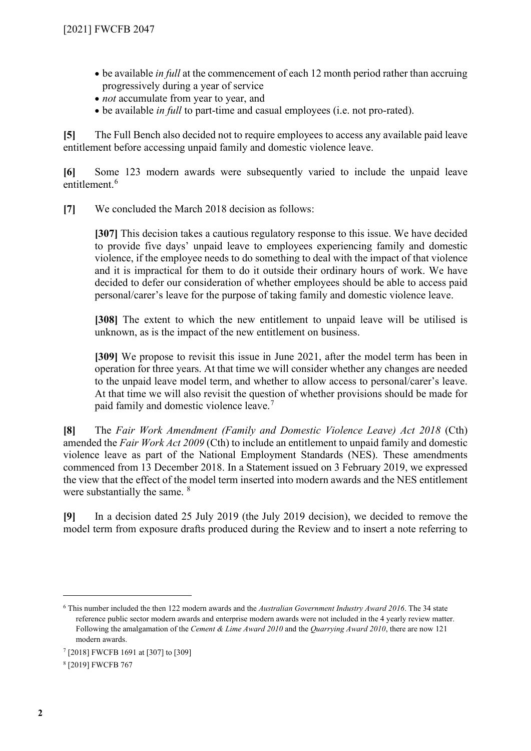- be available *in full* at the commencement of each 12 month period rather than accruing progressively during a year of service
- *not* accumulate from year to year, and
- be available *in full* to part-time and casual employees (i.e. not pro-rated).

**[5]** The Full Bench also decided not to require employees to access any available paid leave entitlement before accessing unpaid family and domestic violence leave.

**[6]** Some 123 modern awards were subsequently varied to include the unpaid leave entitlement.<sup>[6](#page-1-0)</sup>

**[7]** We concluded the March 2018 decision as follows:

**[307]** This decision takes a cautious regulatory response to this issue. We have decided to provide five days' unpaid leave to employees experiencing family and domestic violence, if the employee needs to do something to deal with the impact of that violence and it is impractical for them to do it outside their ordinary hours of work. We have decided to defer our consideration of whether employees should be able to access paid personal/carer's leave for the purpose of taking family and domestic violence leave.

**[308]** The extent to which the new entitlement to unpaid leave will be utilised is unknown, as is the impact of the new entitlement on business.

[309] We propose to revisit this issue in June 2021, after the model term has been in operation for three years. At that time we will consider whether any changes are needed to the unpaid leave model term, and whether to allow access to personal/carer's leave. At that time we will also revisit the question of whether provisions should be made for paid family and domestic violence leave.[7](#page-1-1)

**[8]** The *Fair Work Amendment (Family and Domestic Violence Leave) Act 2018* (Cth) amended the *Fair Work Act 2009* (Cth) to include an entitlement to unpaid family and domestic violence leave as part of the National Employment Standards (NES). These amendments commenced from 13 December 2018. In a Statement issued on 3 February 2019, we expressed the view that the effect of the model term inserted into modern awards and the NES entitlement were substantially the same. <sup>[8](#page-1-2)</sup>

**[9]** In a decision dated 25 July 2019 (the July 2019 decision), we decided to remove the model term from exposure drafts produced during the Review and to insert a note referring to

<span id="page-1-0"></span><sup>6</sup> This number included the then 122 modern awards and the *Australian Government Industry Award 2016*. The 34 state reference public sector modern awards and enterprise modern awards were not included in the 4 yearly review matter. Following the amalgamation of the *Cement & Lime Award 2010* and the *Quarrying Award 2010*, there are now 121 modern awards.

<span id="page-1-1"></span><sup>7</sup> [2018] FWCFB 1691 at [307] to [309]

<span id="page-1-2"></span><sup>8</sup> [2019] FWCFB 767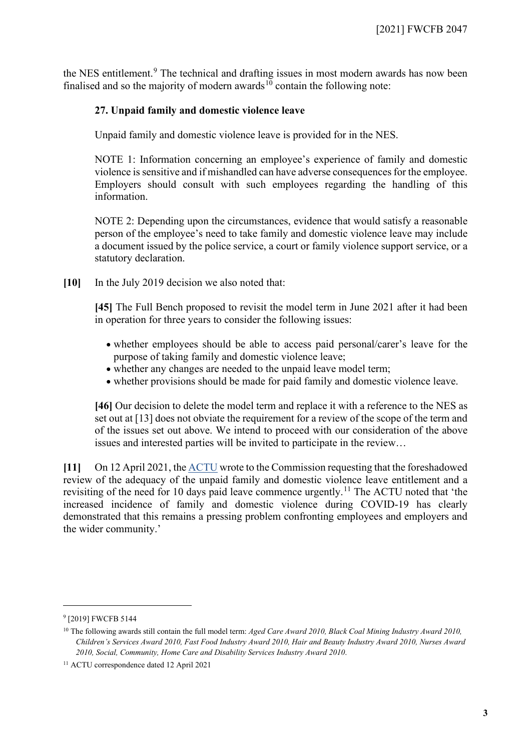the NES entitlement.<sup>[9](#page-2-0)</sup> The technical and drafting issues in most modern awards has now been finalised and so the majority of modern awards<sup>[10](#page-2-1)</sup> contain the following note:

# **27. Unpaid family and domestic violence leave**

Unpaid family and domestic violence leave is provided for in the NES.

NOTE 1: Information concerning an employee's experience of family and domestic violence is sensitive and if mishandled can have adverse consequences for the employee. Employers should consult with such employees regarding the handling of this information.

NOTE 2: Depending upon the circumstances, evidence that would satisfy a reasonable person of the employee's need to take family and domestic violence leave may include a document issued by the police service, a court or family violence support service, or a statutory declaration.

**[10]** In the July 2019 decision we also noted that:

**[45]** The Full Bench proposed to revisit the model term in June 2021 after it had been in operation for three years to consider the following issues:

- whether employees should be able to access paid personal/carer's leave for the purpose of taking family and domestic violence leave;
- whether any changes are needed to the unpaid leave model term;
- whether provisions should be made for paid family and domestic violence leave.

**[46]** Our decision to delete the model term and replace it with a reference to the NES as set out at [13] does not obviate the requirement for a review of the scope of the term and of the issues set out above. We intend to proceed with our consideration of the above issues and interested parties will be invited to participate in the review…

**[11]** On 12 April 2021, th[e ACTU](https://www.fwc.gov.au/documents/sites/family-domestic-violence-leave/application/am2021-55-actu-request-2021-04-12.pdf) wrote to the Commission requesting that the foreshadowed review of the adequacy of the unpaid family and domestic violence leave entitlement and a revisiting of the need for 10 days paid leave commence urgently.<sup>[11](#page-2-2)</sup> The ACTU noted that 'the increased incidence of family and domestic violence during COVID-19 has clearly demonstrated that this remains a pressing problem confronting employees and employers and the wider community.'

<span id="page-2-0"></span><sup>&</sup>lt;sup>9</sup> [2019] FWCFB 5144

<span id="page-2-1"></span><sup>&</sup>lt;sup>10</sup> The following awards still contain the full model term: *Aged Care Award 2010, Black Coal Mining Industry Award 2010*, *Children's Services Award 2010, Fast Food Industry Award 2010, Hair and Beauty Industry Award 2010, Nurses Award 2010, Social, Community, Home Care and Disability Services Industry Award 2010*.

<span id="page-2-2"></span><sup>11</sup> ACTU correspondence dated 12 April 2021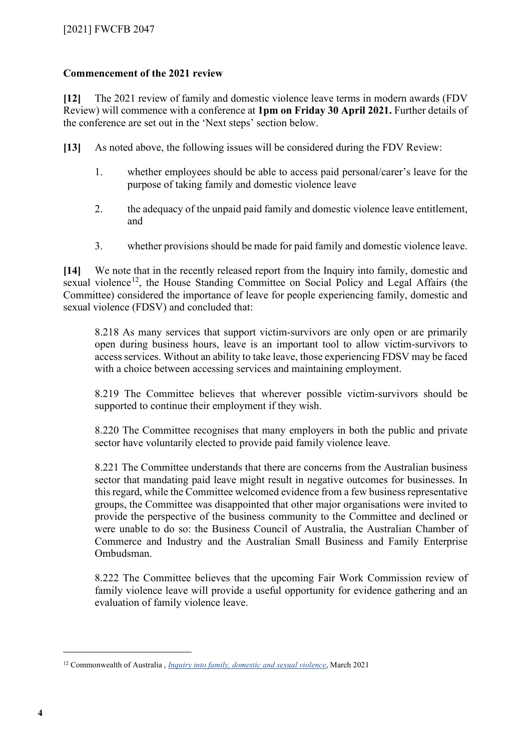# **Commencement of the 2021 review**

**[12]** The 2021 review of family and domestic violence leave terms in modern awards (FDV Review) will commence with a conference at **1pm on Friday 30 April 2021.** Further details of the conference are set out in the 'Next steps' section below.

**[13]** As noted above, the following issues will be considered during the FDV Review:

- 1. whether employees should be able to access paid personal/carer's leave for the purpose of taking family and domestic violence leave
- 2. the adequacy of the unpaid paid family and domestic violence leave entitlement, and
- 3. whether provisions should be made for paid family and domestic violence leave.

**[14]** We note that in the recently released report from the Inquiry into family, domestic and sexual violence<sup>12</sup>, the House Standing Committee on Social Policy and Legal Affairs (the Committee) considered the importance of leave for people experiencing family, domestic and sexual violence (FDSV) and concluded that:

8.218 As many services that support victim-survivors are only open or are primarily open during business hours, leave is an important tool to allow victim-survivors to access services. Without an ability to take leave, those experiencing FDSV may be faced with a choice between accessing services and maintaining employment.

8.219 The Committee believes that wherever possible victim-survivors should be supported to continue their employment if they wish.

8.220 The Committee recognises that many employers in both the public and private sector have voluntarily elected to provide paid family violence leave.

8.221 The Committee understands that there are concerns from the Australian business sector that mandating paid leave might result in negative outcomes for businesses. In this regard, while the Committee welcomed evidence from a few business representative groups, the Committee was disappointed that other major organisations were invited to provide the perspective of the business community to the Committee and declined or were unable to do so: the Business Council of Australia, the Australian Chamber of Commerce and Industry and the Australian Small Business and Family Enterprise Ombudsman.

8.222 The Committee believes that the upcoming Fair Work Commission review of family violence leave will provide a useful opportunity for evidence gathering and an evaluation of family violence leave.

<span id="page-3-0"></span><sup>12</sup> Commonwealth of Australia , *[Inquiry into family, domestic and sexual violence](https://www.aph.gov.au/Parliamentary_Business/Committees/House/Social_Policy_and_Legal_Affairs/Familyviolence/Report)*, March 2021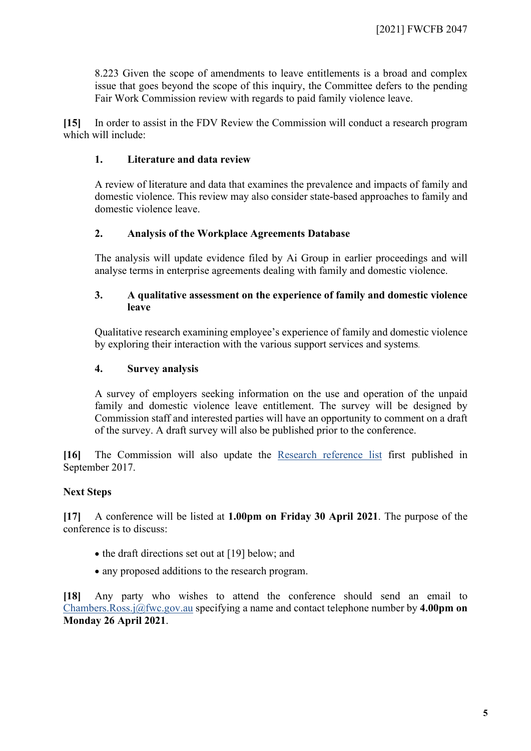8.223 Given the scope of amendments to leave entitlements is a broad and complex issue that goes beyond the scope of this inquiry, the Committee defers to the pending Fair Work Commission review with regards to paid family violence leave.

**[15]** In order to assist in the FDV Review the Commission will conduct a research program which will include:

# **1. Literature and data review**

A review of literature and data that examines the prevalence and impacts of family and domestic violence. This review may also consider state-based approaches to family and domestic violence leave.

#### **2. Analysis of the Workplace Agreements Database**

The analysis will update evidence filed by Ai Group in earlier proceedings and will analyse terms in enterprise agreements dealing with family and domestic violence.

#### **3. A qualitative assessment on the experience of family and domestic violence leave**

Qualitative research examining employee's experience of family and domestic violence by exploring their interaction with the various support services and systems.

#### **4. Survey analysis**

A survey of employers seeking information on the use and operation of the unpaid family and domestic violence leave entitlement. The survey will be designed by Commission staff and interested parties will have an opportunity to comment on a draft of the survey. A draft survey will also be published prior to the conference.

**[16]** The Commission will also update the [Research reference list](https://www.fwc.gov.au/documents/sites/awardsmodernfouryr/am20151-2-researchlist-150917.pdf) first published in September 2017.

# **Next Steps**

**[17]** A conference will be listed at **1.00pm on Friday 30 April 2021**. The purpose of the conference is to discuss:

- the draft directions set out at [19] below; and
- any proposed additions to the research program.

**[18]** Any party who wishes to attend the conference should send an email to [Chambers.Ross.j@fwc.gov.au](mailto:Chambers.Ross.j@fwc.gov.au) specifying a name and contact telephone number by **4.00pm on Monday 26 April 2021**.